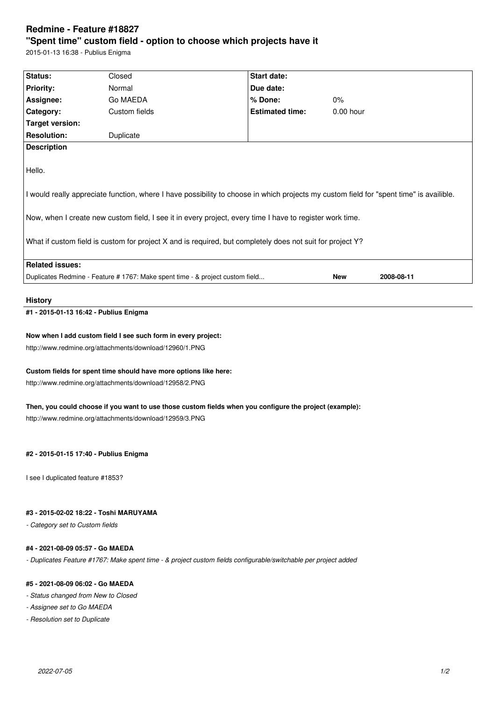# **Redmine - Feature #18827 "Spent time" custom field - option to choose which projects have it**

2015-01-13 16:38 - Publius Enigma

| Status:                                                                                                                                                                                                                                                                                                                                                                    | Closed        | Start date:            |             |            |  |  |
|----------------------------------------------------------------------------------------------------------------------------------------------------------------------------------------------------------------------------------------------------------------------------------------------------------------------------------------------------------------------------|---------------|------------------------|-------------|------------|--|--|
| <b>Priority:</b>                                                                                                                                                                                                                                                                                                                                                           | Normal        | Due date:              |             |            |  |  |
| Assignee:                                                                                                                                                                                                                                                                                                                                                                  | Go MAEDA      | % Done:                | $0\%$       |            |  |  |
| Category:                                                                                                                                                                                                                                                                                                                                                                  | Custom fields | <b>Estimated time:</b> | $0.00$ hour |            |  |  |
| Target version:                                                                                                                                                                                                                                                                                                                                                            |               |                        |             |            |  |  |
| <b>Resolution:</b>                                                                                                                                                                                                                                                                                                                                                         | Duplicate     |                        |             |            |  |  |
| <b>Description</b>                                                                                                                                                                                                                                                                                                                                                         |               |                        |             |            |  |  |
| Hello.<br>I would really appreciate function, where I have possibility to choose in which projects my custom field for "spent time" is availible.<br>Now, when I create new custom field, I see it in every project, every time I have to register work time.<br>What if custom field is custom for project X and is required, but completely does not suit for project Y? |               |                        |             |            |  |  |
| <b>Related issues:</b>                                                                                                                                                                                                                                                                                                                                                     |               |                        |             |            |  |  |
| Duplicates Redmine - Feature # 1767: Make spent time - & project custom field                                                                                                                                                                                                                                                                                              |               |                        | <b>New</b>  | 2008-08-11 |  |  |

### **History**

**#1 - 2015-01-13 16:42 - Publius Enigma**

### **Now when I add custom field I see such form in every project:**

http://www.redmine.org/attachments/download/12960/1.PNG

## **Custom fields for spent time should have more options like here:**

http://www.redmine.org/attachments/download/12958/2.PNG

# **Then, you could choose if you want to use those custom fields when you configure the project (example):**

http://www.redmine.org/attachments/download/12959/3.PNG

### **#2 - 2015-01-15 17:40 - Publius Enigma**

I see I duplicated feature #1853?

## **#3 - 2015-02-02 18:22 - Toshi MARUYAMA**

*- Category set to Custom fields*

#### **#4 - 2021-08-09 05:57 - Go MAEDA**

*- Duplicates Feature #1767: Make spent time - & project custom fields configurable/switchable per project added*

### **#5 - 2021-08-09 06:02 - Go MAEDA**

- *Status changed from New to Closed*
- *Assignee set to Go MAEDA*
- *Resolution set to Duplicate*